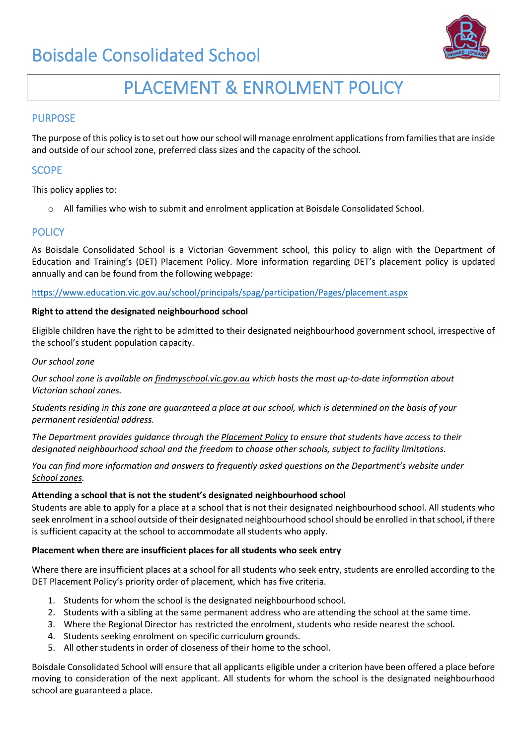

# PLACEMENT & ENROLMENT POLICY

# PURPOSE

The purpose of this policy is to set out how our school will manage enrolment applications from families that are inside and outside of our school zone, preferred class sizes and the capacity of the school.

# **SCOPE**

This policy applies to:

o All families who wish to submit and enrolment application at Boisdale Consolidated School.

## **POLICY**

As Boisdale Consolidated School is a Victorian Government school, this policy to align with the Department of Education and Training's (DET) Placement Policy. More information regarding DET's placement policy is updated annually and can be found from the following webpage:

<https://www.education.vic.gov.au/school/principals/spag/participation/Pages/placement.aspx>

### **Right to attend the designated neighbourhood school**

Eligible children have the right to be admitted to their designated neighbourhood government school, irrespective of the school's student population capacity.

### *Our school zone*

*Our school zone is available on [findmyschool.vic.gov.au](http://www.findmyschool.vic.gov.au/) which hosts the most up-to-date information about Victorian school zones.*

*Students residing in this zone are guaranteed a place at our school, which is determined on the basis of your permanent residential address.*

*The Department provides guidance through the [Placement Policy](https://www.education.vic.gov.au/school/principals/spag/participation/Pages/placement.aspx) to ensure that students have access to their designated neighbourhood school and the freedom to choose other schools, subject to facility limitations.*

*You can find more information and answers to frequently asked questions on the Department's website under [School zones.](https://www.education.vic.gov.au/parents/going-to-school/Pages/zones-restrictions.aspx)*

### **Attending a school that is not the student's designated neighbourhood school**

Students are able to apply for a place at a school that is not their designated neighbourhood school. All students who seek enrolment in a school outside of their designated neighbourhood school should be enrolled in that school, if there is sufficient capacity at the school to accommodate all students who apply.

### **Placement when there are insufficient places for all students who seek entry**

Where there are insufficient places at a school for all students who seek entry, students are enrolled according to the DET Placement Policy's priority order of placement, which has five criteria.

- 1. Students for whom the school is the designated neighbourhood school.
- 2. Students with a sibling at the same permanent address who are attending the school at the same time.
- 3. Where the Regional Director has restricted the enrolment, students who reside nearest the school.
- 4. Students seeking enrolment on specific curriculum grounds.
- 5. All other students in order of closeness of their home to the school.

Boisdale Consolidated School will ensure that all applicants eligible under a criterion have been offered a place before moving to consideration of the next applicant. All students for whom the school is the designated neighbourhood school are guaranteed a place.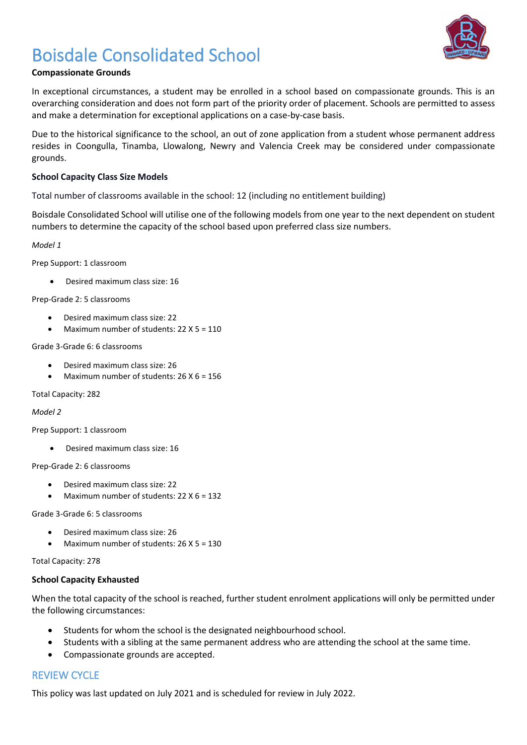# Boisdale Consolidated School

# **Compassionate Grounds**

In exceptional circumstances, a student may be enrolled in a school based on compassionate grounds. This is an overarching consideration and does not form part of the priority order of placement. Schools are permitted to assess and make a determination for exceptional applications on a case-by-case basis.

Due to the historical significance to the school, an out of zone application from a student whose permanent address resides in Coongulla, Tinamba, Llowalong, Newry and Valencia Creek may be considered under compassionate grounds.

### **School Capacity Class Size Models**

Total number of classrooms available in the school: 12 (including no entitlement building)

Boisdale Consolidated School will utilise one of the following models from one year to the next dependent on student numbers to determine the capacity of the school based upon preferred class size numbers.

*Model 1*

Prep Support: 1 classroom

• Desired maximum class size: 16

Prep-Grade 2: 5 classrooms

- Desired maximum class size: 22
- Maximum number of students: 22 X 5 = 110

Grade 3-Grade 6: 6 classrooms

- Desired maximum class size: 26
- Maximum number of students: 26 X 6 = 156

Total Capacity: 282

*Model 2*

Prep Support: 1 classroom

• Desired maximum class size: 16

Prep-Grade 2: 6 classrooms

- Desired maximum class size: 22
- Maximum number of students: 22 X 6 = 132

Grade 3-Grade 6: 5 classrooms

- Desired maximum class size: 26
- Maximum number of students: 26 X 5 = 130

Total Capacity: 278

### **School Capacity Exhausted**

When the total capacity of the school is reached, further student enrolment applications will only be permitted under the following circumstances:

- Students for whom the school is the designated neighbourhood school.
- Students with a sibling at the same permanent address who are attending the school at the same time.
- Compassionate grounds are accepted.

# REVIEW CYCLE

This policy was last updated on July 2021 and is scheduled for review in July 2022.